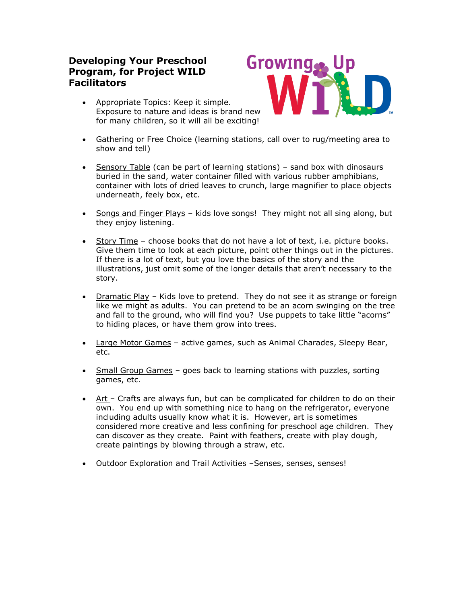# **Developing Your Preschool Program, for Project WILD Facilitators**

 Appropriate Topics: Keep it simple. Exposure to nature and ideas is brand new for many children, so it will all be exciting!



- Gathering or Free Choice (learning stations, call over to rug/meeting area to show and tell)
- Sensory Table (can be part of learning stations) sand box with dinosaurs buried in the sand, water container filled with various rubber amphibians, container with lots of dried leaves to crunch, large magnifier to place objects underneath, feely box, etc.
- Songs and Finger Plays kids love songs! They might not all sing along, but they enjoy listening.
- Story Time choose books that do not have a lot of text, i.e. picture books. Give them time to look at each picture, point other things out in the pictures. If there is a lot of text, but you love the basics of the story and the illustrations, just omit some of the longer details that aren't necessary to the story.
- Dramatic Play Kids love to pretend. They do not see it as strange or foreign like we might as adults. You can pretend to be an acorn swinging on the tree and fall to the ground, who will find you? Use puppets to take little "acorns" to hiding places, or have them grow into trees.
- Large Motor Games active games, such as Animal Charades, Sleepy Bear, etc.
- Small Group Games goes back to learning stations with puzzles, sorting games, etc.
- $\bullet$  Art Crafts are always fun, but can be complicated for children to do on their own. You end up with something nice to hang on the refrigerator, everyone including adults usually know what it is. However, art is sometimes considered more creative and less confining for preschool age children. They can discover as they create. Paint with feathers, create with play dough, create paintings by blowing through a straw, etc.
- Outdoor Exploration and Trail Activities -Senses, senses, senses!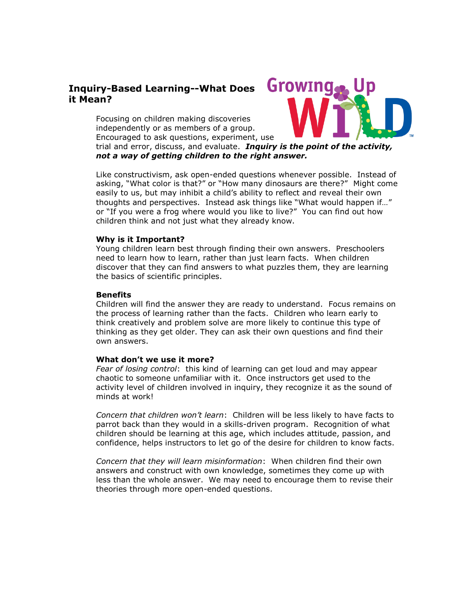## **Inquiry-Based Learning--What Does it Mean?**

Focusing on children making discoveries independently or as members of a group. Encouraged to ask questions, experiment, use



trial and error, discuss, and evaluate.*Inquiry is the point of the activity, not a way of getting children to the right answer.*

Like constructivism, ask open-ended questions whenever possible. Instead of asking, "What color is that?" or "How many dinosaurs are there?" Might come easily to us, but may inhibit a child's ability to reflect and reveal their own thoughts and perspectives. Instead ask things like "What would happen if…" or "If you were a frog where would you like to live?" You can find out how children think and not just what they already know.

### **Why is it Important?**

Young children learn best through finding their own answers. Preschoolers need to learn how to learn, rather than just learn facts. When children discover that they can find answers to what puzzles them, they are learning the basics of scientific principles.

### **Benefits**

Children will find the answer they are ready to understand. Focus remains on the process of learning rather than the facts. Children who learn early to think creatively and problem solve are more likely to continue this type of thinking as they get older. They can ask their own questions and find their own answers.

## **What don't we use it more?**

*Fear of losing control*: this kind of learning can get loud and may appear chaotic to someone unfamiliar with it. Once instructors get used to the activity level of children involved in inquiry, they recognize it as the sound of minds at work!

*Concern that children won't learn*: Children will be less likely to have facts to parrot back than they would in a skills-driven program. Recognition of what children should be learning at this age, which includes attitude, passion, and confidence, helps instructors to let go of the desire for children to know facts.

*Concern that they will learn misinformation*: When children find their own answers and construct with own knowledge, sometimes they come up with less than the whole answer. We may need to encourage them to revise their theories through more open-ended questions.